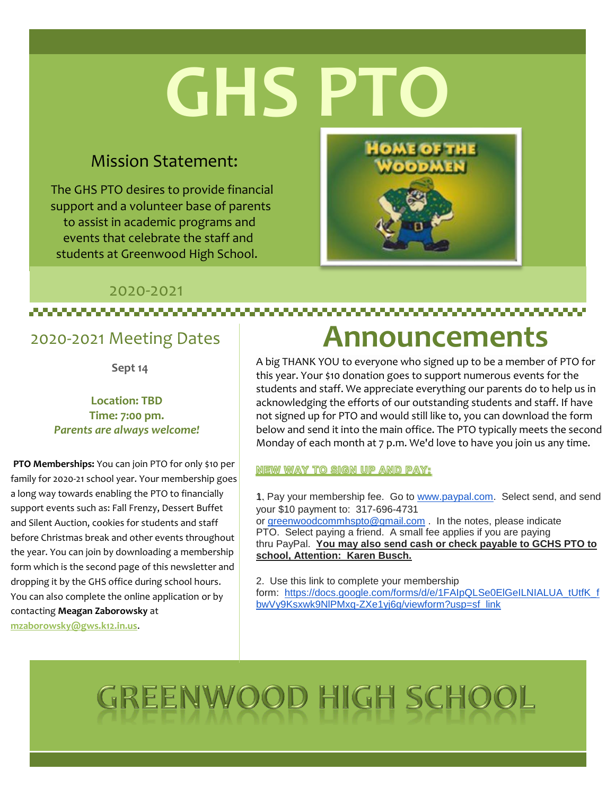# **GHS PT**

#### Mission Statement:

The GHS PTO desires to provide financial support and a volunteer base of parents to assist in academic programs and events that celebrate the staff and students at Greenwood High School.

,,,,,,,,,,,,,,,,,,,,,,,,,,,,,,,,,,,

**Announcements**

**OME OF THE** 

A big THANK YOU to everyone who signed up to be a member of PTO for this year. Your \$10 donation goes to support numerous events for the students and staff. We appreciate everything our parents do to help us in acknowledging the efforts of our outstanding students and staff. If have not signed up for PTO and would still like to, you can download the form below and send it into the main office. The PTO typically meets the second Monday of each month at 7 p.m. We'd love to have you join us any time.

**NEW WAY TO SIGN UP AND PAY:** 

1. Pay your membership fee. Go to [www.paypal.com.](http://track.spe.schoolmessenger.com/f/a/sACsZjWpTxlkDwPGUkMNFg~~/AAAAAQA~/RgRhHAO4P0QWaHR0cDovL3d3dy5wYXlwYWwuY29tL1cHc2Nob29sbUIKAEY40DpfCRzOSlISc2FtaTAzMDZAZ21haWwuY29tWAQAAAAB) Select send, and send your \$10 payment to: 317-696-4731 or [greenwoodcommhspto@gmail.com](mailto:greenwoodcommhspto@gmail.com) . In the notes, please indicate PTO. Select paying a friend. A small fee applies if you are paying thru PayPal. **You may also send cash or check payable to GCHS PTO to school, Attention: Karen Busch.**

2. Use this link to complete your membership form: [https://docs.google.com/forms/d/e/1FAIpQLSe0ElGeILNIALUA\\_tUtfK\\_f](http://track.spe.schoolmessenger.com/f/a/1lCcN8TqE0m8DX-Q5lXbbw~~/AAAAAQA~/RgRhHAO4P0RvaHR0cHM6Ly9kb2NzLmdvb2dsZS5jb20vZm9ybXMvZC9lLzFGQUlwUUxTZTBFbEdlSUxOSUFMVUFfdFV0ZktfZmJ3Vnk5S3N4d2s5TmxQTXhxLVpYZTF5ajZnL3ZpZXdmb3JtP3VzcD1zZl9saW5rVwdzY2hvb2xtQgoARjjQOl8JHM5KUhJzYW1pMDMwNkBnbWFpbC5jb21YBAAAAAE~) [bwVy9Ksxwk9NlPMxq-ZXe1yj6g/viewform?usp=sf\\_link](http://track.spe.schoolmessenger.com/f/a/1lCcN8TqE0m8DX-Q5lXbbw~~/AAAAAQA~/RgRhHAO4P0RvaHR0cHM6Ly9kb2NzLmdvb2dsZS5jb20vZm9ybXMvZC9lLzFGQUlwUUxTZTBFbEdlSUxOSUFMVUFfdFV0ZktfZmJ3Vnk5S3N4d2s5TmxQTXhxLVpYZTF5ajZnL3ZpZXdmb3JtP3VzcD1zZl9saW5rVwdzY2hvb2xtQgoARjjQOl8JHM5KUhJzYW1pMDMwNkBnbWFpbC5jb21YBAAAAAE~)

## GREENWOOD HIGH SCHOOL

#### 2020-2021 Meeting Dates

**Sept 14**

2020-2021

#### **Location: TBD Time: 7:00 pm.** *Parents are always welcome!*

**PTO Memberships:** You can join PTO for only \$10 per family for 2020-21 school year. Your membership goes a long way towards enabling the PTO to financially support events such as: Fall Frenzy, Dessert Buffet and Silent Auction, cookies for students and staff before Christmas break and other events throughout the year. You can join by downloading a membership form which is the second page of this newsletter and dropping it by the GHS office during school hours. You can also complete the online application or by contacting **Meagan Zaborowsky** at **mzaborowsky@gws.k12.in.us**.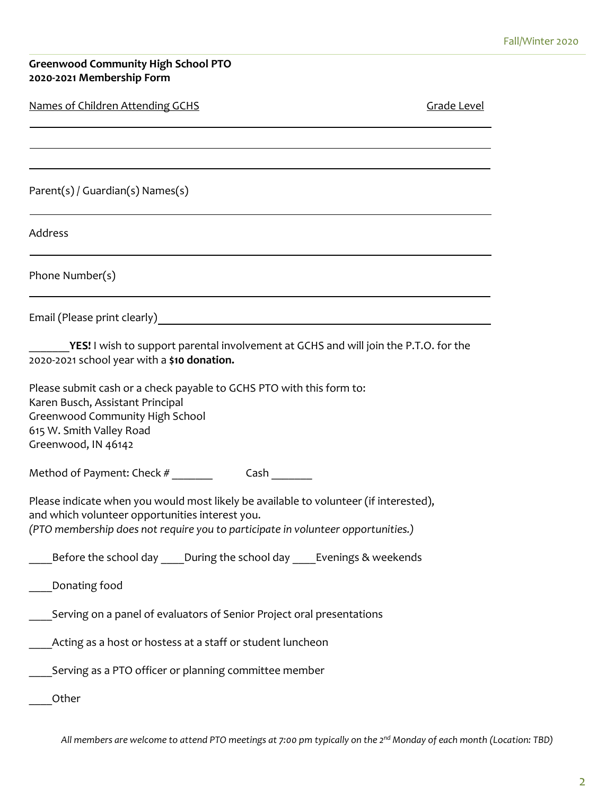#### **Greenwood Community High School PTO 2020-2021 Membership Form**

| Names of Children Attending GCHS                                                                                                                                                                                             | Grade Level |
|------------------------------------------------------------------------------------------------------------------------------------------------------------------------------------------------------------------------------|-------------|
|                                                                                                                                                                                                                              |             |
| $Parent(s) / Guardian(s)$ Names(s)                                                                                                                                                                                           |             |
| Address                                                                                                                                                                                                                      |             |
| Phone Number(s)                                                                                                                                                                                                              |             |
|                                                                                                                                                                                                                              |             |
| <b>YES!</b> I wish to support parental involvement at GCHS and will join the P.T.O. for the<br>2020-2021 school year with a \$10 donation.                                                                                   |             |
| Please submit cash or a check payable to GCHS PTO with this form to:<br>Karen Busch, Assistant Principal<br><b>Greenwood Community High School</b><br>615 W. Smith Valley Road<br>Greenwood, IN 46142                        |             |
| Method of Payment: Check #<br>Cash                                                                                                                                                                                           |             |
| Please indicate when you would most likely be available to volunteer (if interested),<br>and which volunteer opportunities interest you.<br>(PTO membership does not require you to participate in volunteer opportunities.) |             |
| Before the school day _____ During the school day _____ Evenings & weekends                                                                                                                                                  |             |
| Donating food                                                                                                                                                                                                                |             |
| Serving on a panel of evaluators of Senior Project oral presentations                                                                                                                                                        |             |
| Acting as a host or hostess at a staff or student luncheon                                                                                                                                                                   |             |
| Serving as a PTO officer or planning committee member                                                                                                                                                                        |             |
| Other                                                                                                                                                                                                                        |             |